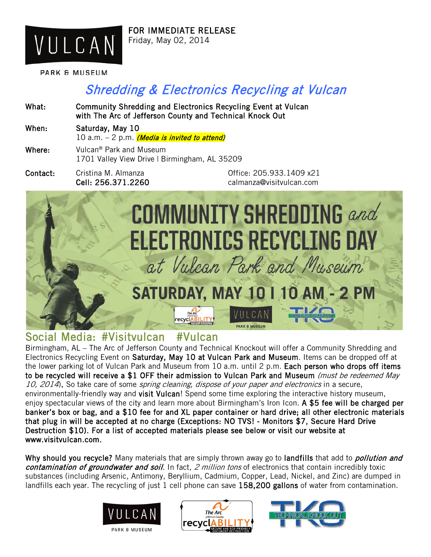

FOR IMMEDIATE RELEASE Friday, May 02, 2014

What: Community Shredding and Electronics Recycling Event at Vulcan

PARK & MUSEUM

# Shredding & Electronics Recycling at Vulcan

with The Arc of Jefferson County and Technical Knock Out When: Saturday, May 10 10 a.m.  $-$  2 p.m. (Media is invited to attend) Where: Vulcan® Park and Museum 1701 Valley View Drive | Birmingham, AL 35209 Contact: Cristina M. Almanza Office: 205.933.1409 x21 Cell: 256.371.2260 calmanza@visitvulcan.com **COMMUNITY SHREDDING** and **ELECTRONICS RECYCLING DAY** at Vulcan Park and Museum SATURDAY, MAY 10 I 10 AM - 2 PM PARK & MUSEUM

Social Media: #Visitvulcan #Vulcan<br>Birmingham, AL – The Arc of Jefferson County and Technical Knockout will offer a Community Shredding and Electronics Recycling Event on Saturday, May 10 at Vulcan Park and Museum. Items can be dropped off at the lower parking lot of Vulcan Park and Museum from 10 a.m. until 2 p.m. Each person who drops off items to be recycled will receive a \$1 OFF their admission to Vulcan Park and Museum (must be redeemed May 10, 2014). So take care of some spring cleaning, dispose of your paper and electronics in a secure, environmentally-friendly way and visit Vulcan! Spend some time exploring the interactive history museum, enjoy spectacular views of the city and learn more about Birmingham's Iron Icon. A \$5 fee will be charged per banker's box or bag, and a \$10 fee for and XL paper container or hard drive; all other electronic materials that plug in will be accepted at no charge (Exceptions: NO TVS! - Monitors \$7, Secure Hard Drive Destruction \$10). For a list of accepted materials please see below or visit our website at www.visitvulcan.com.

Why should you recycle? Many materials that are simply thrown away go to landfills that add to *pollution and* contamination of groundwater and soil. In fact, 2 million tons of electronics that contain incredibly toxic substances (including Arsenic, Antimony, Beryllium, Cadmium, Copper, Lead, Nickel, and Zinc) are dumped in landfills each year. The recycling of just 1 cell phone can save 158,200 gallons of water from contamination.





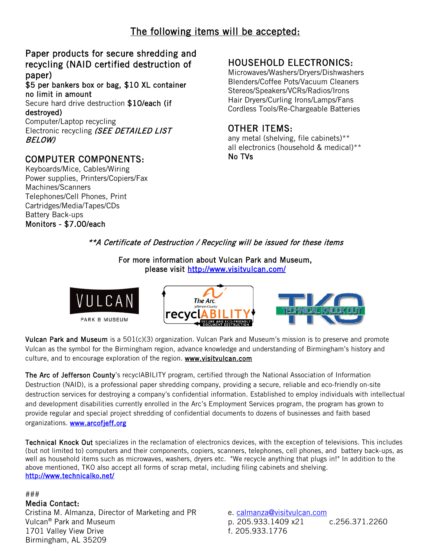# The following items will be accepted:

#### Paper products for secure shredding and recycling (NAID certified destruction of paper)

\$5 per bankers box or bag, \$10 XL container no limit in amount

Secure hard drive destruction \$10/each (if destroyed)

Computer/Laptop recycling Electronic recycling (SEE DETAILED LIST BELOW)

### COMPUTER COMPONENTS:

Keyboards/Mice, Cables/Wiring Power supplies, Printers/Copiers/Fax Machines/Scanners Telephones/Cell Phones, Print Cartridges/Media/Tapes/CDs Battery Back-ups Monitors - \$7.00/each

## HOUSEHOLD ELECTRONICS:

Microwaves/Washers/Dryers/Dishwashers Blenders/Coffee Pots/Vacuum Cleaners Stereos/Speakers/VCRs/Radios/Irons Hair Dryers/Curling Irons/Lamps/Fans Cordless Tools/Re-Chargeable Batteries

#### OTHER ITEMS:

any metal (shelving, file cabinets)\*\* all electronics (household & medical)\*\* No TVs

#### \*\*A Certificate of Destruction / Recycling will be issued for these items

For more information about Vulcan Park and Museum, please visit<http://www.visitvulcan.com/>



Vulcan Park and Museum is a 501(c)(3) organization. Vulcan Park and Museum's mission is to preserve and promote Vulcan as the symbol for the Birmingham region, advance knowledge and understanding of Birmingham's history and culture, and to encourage exploration of the region. [www.visitvulcan.com](http://www.visitvulcan.com/)

The Arc of Jefferson County's recyclABILITY program, certified through the National Association of Information Destruction (NAID), is a professional paper shredding company, providing a secure, reliable and eco-friendly on-site destruction services for destroying a company's confidential information. Established to employ individuals with intellectual and development disabilities currently enrolled in the Arc's Employment Services program, the program has grown to provide regular and special project shredding of confidential documents to dozens of businesses and faith based organizations. [www.arcofjeff.org](http://www.arcofjeff.org/)

Technical Knock Out specializes in the reclamation of electronics devices, with the exception of televisions. This includes (but not limited to) computers and their components, copiers, scanners, telephones, cell phones, and battery back-ups, as well as household items such as microwaves, washers, dryers etc. "We recycle anything that plugs in!" In addition to the above mentioned, TKO also accept all forms of scrap metal, including filing cabinets and shelving. <http://www.technicalko.net/>

#### ###

#### Media Contact:

Cristina M. Almanza, Director of Marketing and PR Vulcan® Park and Museum 1701 Valley View Drive Birmingham, AL 35209

e. [calmanza@visitvulcan.com](mailto:calmanza@visitvulcan.com) p. 205.933.1409 x21 c.256.371.2260 f. 205.933.1776